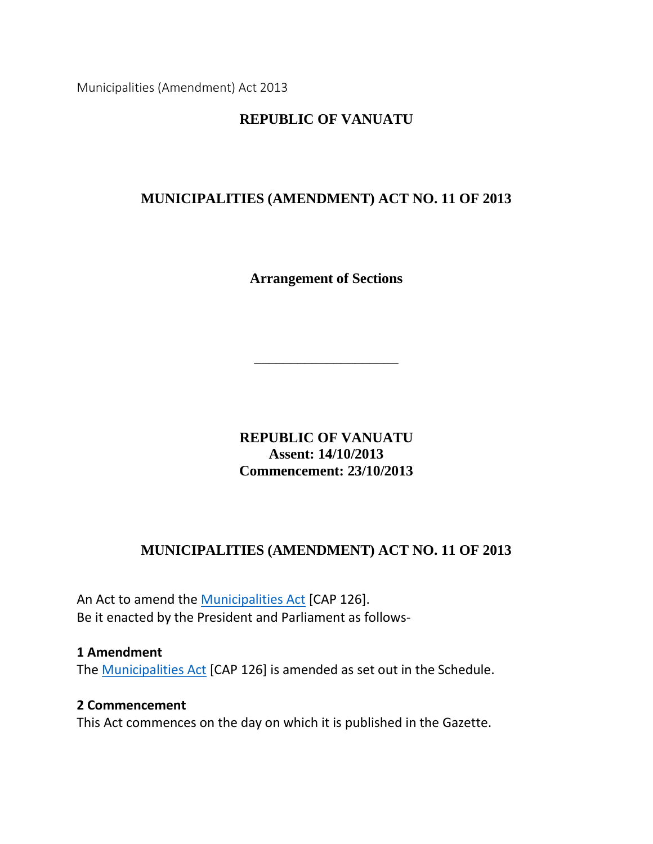Municipalities (Amendment) Act 2013

## **REPUBLIC OF VANUATU**

## **MUNICIPALITIES (AMENDMENT) ACT NO. 11 OF 2013**

**Arrangement of Sections**

\_\_\_\_\_\_\_\_\_\_\_\_\_\_\_\_\_\_\_\_

**REPUBLIC OF VANUATU Assent: 14/10/2013 Commencement: 23/10/2013**

## **MUNICIPALITIES (AMENDMENT) ACT NO. 11 OF 2013**

An Act to amend the [Municipalities Act](http://www.paclii.org/vu/legis/consol_act/ma167/) [CAP 126]. Be it enacted by the President and Parliament as follows-

#### **1 Amendment**

The [Municipalities Act](http://www.paclii.org/vu/legis/consol_act/ma167/) [CAP 126] is amended as set out in the Schedule.

#### **2 Commencement**

This Act commences on the day on which it is published in the Gazette.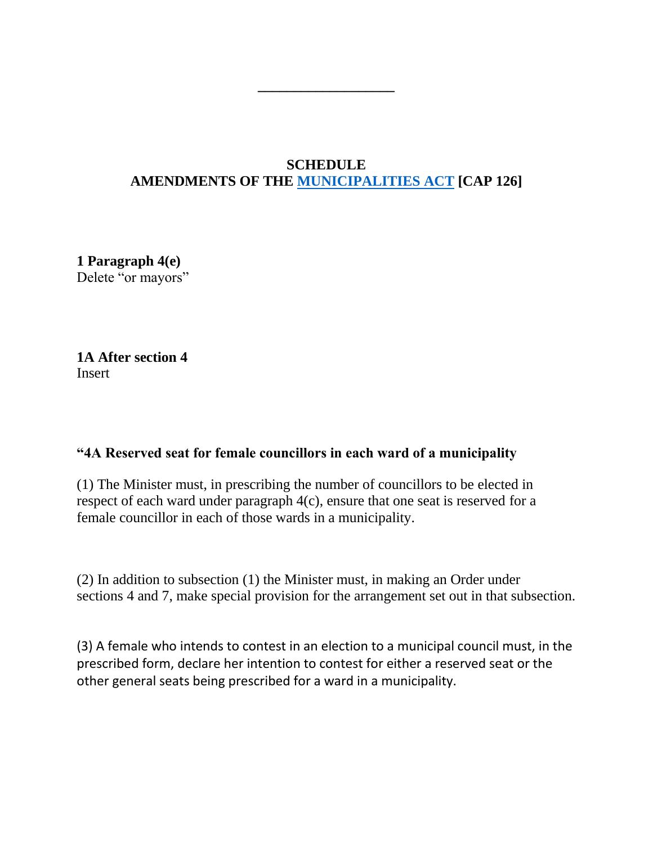# **SCHEDULE AMENDMENTS OF THE [MUNICIPALITIES ACT](http://www.paclii.org/vu/legis/consol_act/ma167/) [CAP 126]**

**\_\_\_\_\_\_\_\_\_\_\_\_\_\_\_\_\_\_\_**

**1 Paragraph 4(e)** Delete "or mayors"

**1A After section 4 Insert** 

#### **"4A Reserved seat for female councillors in each ward of a municipality**

(1) The Minister must, in prescribing the number of councillors to be elected in respect of each ward under paragraph 4(c), ensure that one seat is reserved for a female councillor in each of those wards in a municipality.

(2) In addition to subsection (1) the Minister must, in making an Order under sections 4 and 7, make special provision for the arrangement set out in that subsection.

(3) A female who intends to contest in an election to a municipal council must, in the prescribed form, declare her intention to contest for either a reserved seat or the other general seats being prescribed for a ward in a municipality.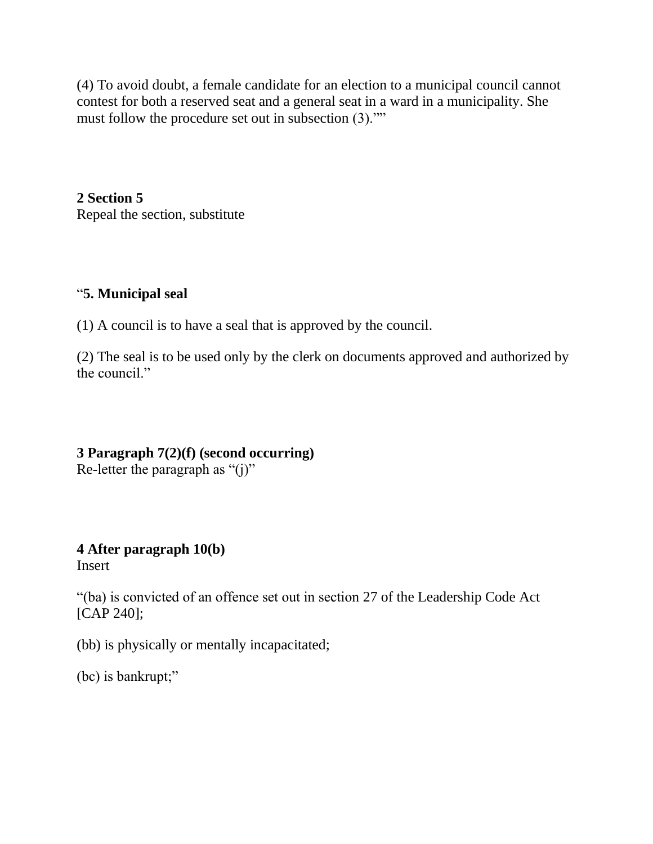(4) To avoid doubt, a female candidate for an election to a municipal council cannot contest for both a reserved seat and a general seat in a ward in a municipality. She must follow the procedure set out in subsection (3).""

**2 Section 5** Repeal the section, substitute

## "**5. Municipal seal**

(1) A council is to have a seal that is approved by the council.

(2) The seal is to be used only by the clerk on documents approved and authorized by the council."

# **3 Paragraph 7(2)(f) (second occurring)**

Re-letter the paragraph as " $(i)$ "

**4 After paragraph 10(b)** Insert

"(ba) is convicted of an offence set out in section 27 of the Leadership Code Act [CAP 240];

(bb) is physically or mentally incapacitated;

(bc) is bankrupt;"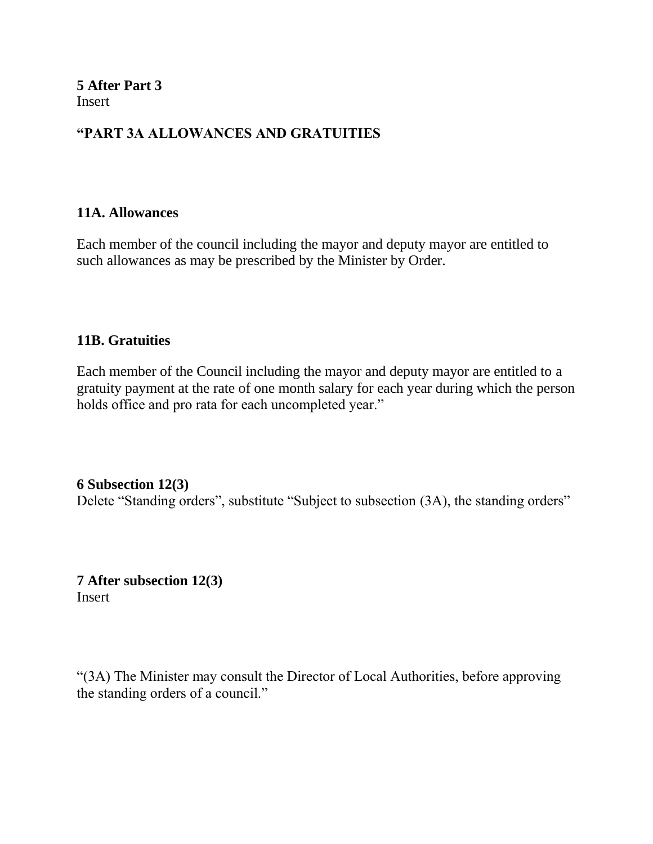**5 After Part 3 Insert** 

## **"PART 3A ALLOWANCES AND GRATUITIES**

#### **11A. Allowances**

Each member of the council including the mayor and deputy mayor are entitled to such allowances as may be prescribed by the Minister by Order.

#### **11B. Gratuities**

Each member of the Council including the mayor and deputy mayor are entitled to a gratuity payment at the rate of one month salary for each year during which the person holds office and pro rata for each uncompleted year."

#### **6 Subsection 12(3)**

Delete "Standing orders", substitute "Subject to subsection (3A), the standing orders"

**7 After subsection 12(3) Insert** 

"(3A) The Minister may consult the Director of Local Authorities, before approving the standing orders of a council."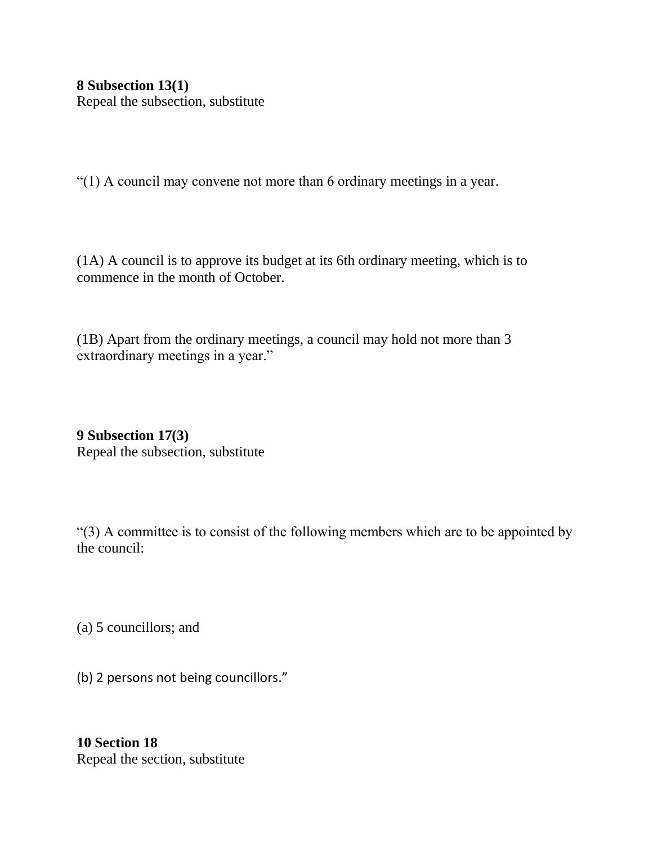**8 Subsection 13(1)** Repeal the subsection, substitute

"(1) A council may convene not more than 6 ordinary meetings in a year.

(1A) A council is to approve its budget at its 6th ordinary meeting, which is to commence in the month of October.

(1B) Apart from the ordinary meetings, a council may hold not more than 3 extraordinary meetings in a year."

**9 Subsection 17(3)** Repeal the subsection, substitute

"(3) A committee is to consist of the following members which are to be appointed by the council:

(a) 5 councillors; and

(b) 2 persons not being councillors."

**10 Section 18** Repeal the section, substitute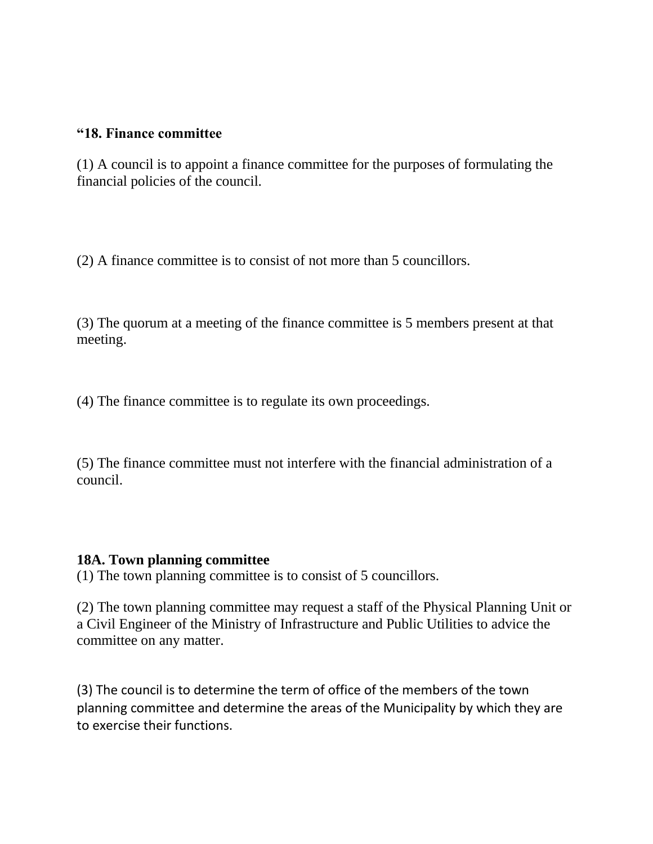#### **"18. Finance committee**

(1) A council is to appoint a finance committee for the purposes of formulating the financial policies of the council.

(2) A finance committee is to consist of not more than 5 councillors.

(3) The quorum at a meeting of the finance committee is 5 members present at that meeting.

(4) The finance committee is to regulate its own proceedings.

(5) The finance committee must not interfere with the financial administration of a council.

#### **18A. Town planning committee**

(1) The town planning committee is to consist of 5 councillors.

(2) The town planning committee may request a staff of the Physical Planning Unit or a Civil Engineer of the Ministry of Infrastructure and Public Utilities to advice the committee on any matter.

(3) The council is to determine the term of office of the members of the town planning committee and determine the areas of the Municipality by which they are to exercise their functions.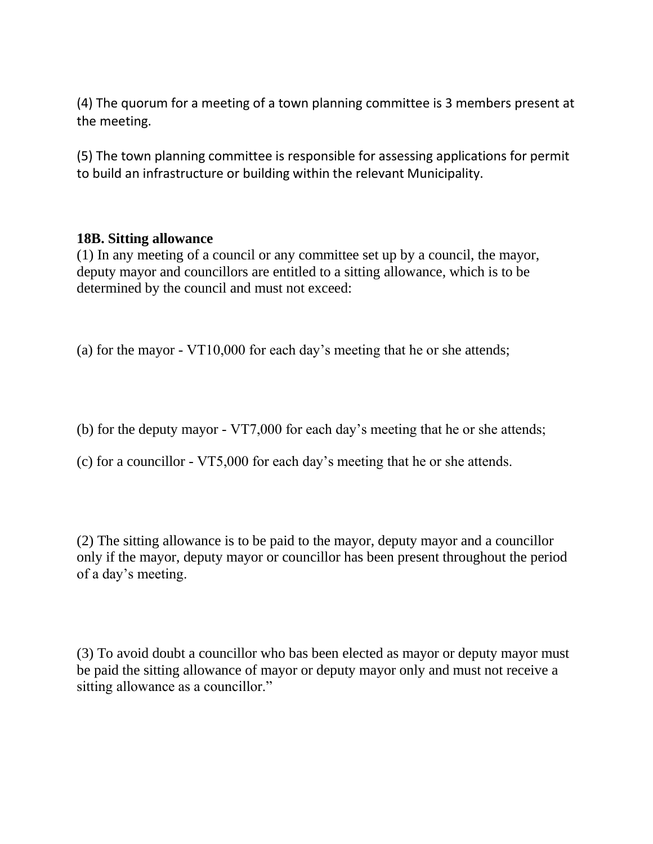(4) The quorum for a meeting of a town planning committee is 3 members present at the meeting.

(5) The town planning committee is responsible for assessing applications for permit to build an infrastructure or building within the relevant Municipality.

#### **18B. Sitting allowance**

(1) In any meeting of a council or any committee set up by a council, the mayor, deputy mayor and councillors are entitled to a sitting allowance, which is to be determined by the council and must not exceed:

(a) for the mayor - VT10,000 for each day's meeting that he or she attends;

- (b) for the deputy mayor VT7,000 for each day's meeting that he or she attends;
- (c) for a councillor VT5,000 for each day's meeting that he or she attends.

(2) The sitting allowance is to be paid to the mayor, deputy mayor and a councillor only if the mayor, deputy mayor or councillor has been present throughout the period of a day's meeting.

(3) To avoid doubt a councillor who bas been elected as mayor or deputy mayor must be paid the sitting allowance of mayor or deputy mayor only and must not receive a sitting allowance as a councillor."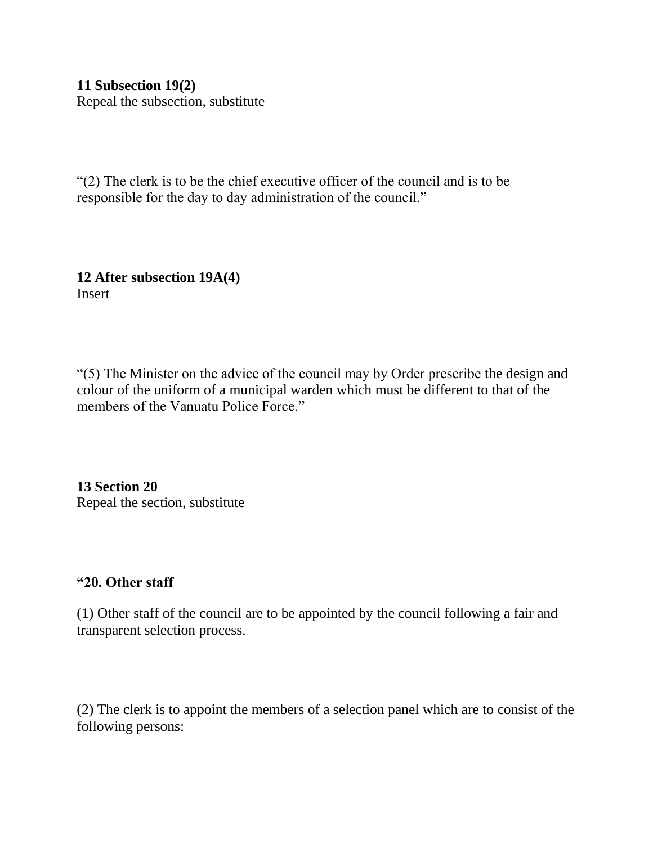**11 Subsection 19(2)** Repeal the subsection, substitute

"(2) The clerk is to be the chief executive officer of the council and is to be responsible for the day to day administration of the council."

**12 After subsection 19A(4)** Insert

"(5) The Minister on the advice of the council may by Order prescribe the design and colour of the uniform of a municipal warden which must be different to that of the members of the Vanuatu Police Force."

**13 Section 20** Repeal the section, substitute

## **"20. Other staff**

(1) Other staff of the council are to be appointed by the council following a fair and transparent selection process.

(2) The clerk is to appoint the members of a selection panel which are to consist of the following persons: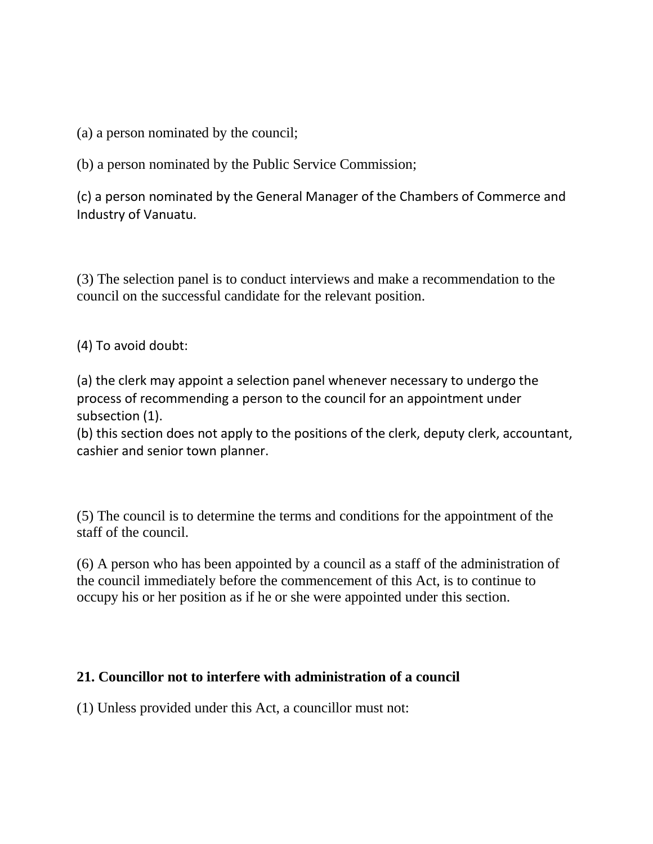(a) a person nominated by the council;

(b) a person nominated by the Public Service Commission;

(c) a person nominated by the General Manager of the Chambers of Commerce and Industry of Vanuatu.

(3) The selection panel is to conduct interviews and make a recommendation to the council on the successful candidate for the relevant position.

(4) To avoid doubt:

(a) the clerk may appoint a selection panel whenever necessary to undergo the process of recommending a person to the council for an appointment under subsection (1).

(b) this section does not apply to the positions of the clerk, deputy clerk, accountant, cashier and senior town planner.

(5) The council is to determine the terms and conditions for the appointment of the staff of the council.

(6) A person who has been appointed by a council as a staff of the administration of the council immediately before the commencement of this Act, is to continue to occupy his or her position as if he or she were appointed under this section.

## **21. Councillor not to interfere with administration of a council**

(1) Unless provided under this Act, a councillor must not: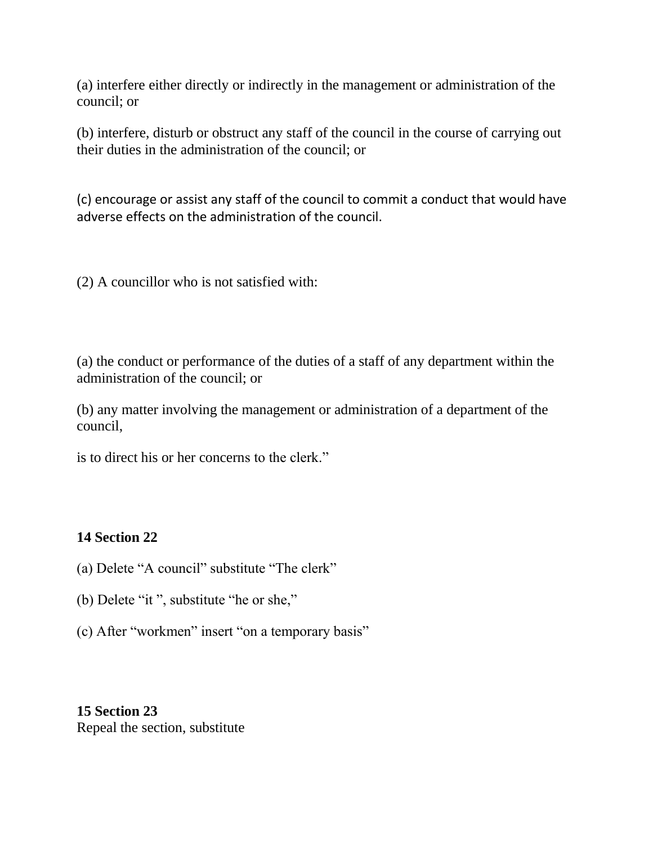(a) interfere either directly or indirectly in the management or administration of the council; or

(b) interfere, disturb or obstruct any staff of the council in the course of carrying out their duties in the administration of the council; or

(c) encourage or assist any staff of the council to commit a conduct that would have adverse effects on the administration of the council.

(2) A councillor who is not satisfied with:

(a) the conduct or performance of the duties of a staff of any department within the administration of the council; or

(b) any matter involving the management or administration of a department of the council,

is to direct his or her concerns to the clerk."

## **14 Section 22**

- (a) Delete "A council" substitute "The clerk"
- (b) Delete "it ", substitute "he or she,"
- (c) After "workmen" insert "on a temporary basis"

**15 Section 23** Repeal the section, substitute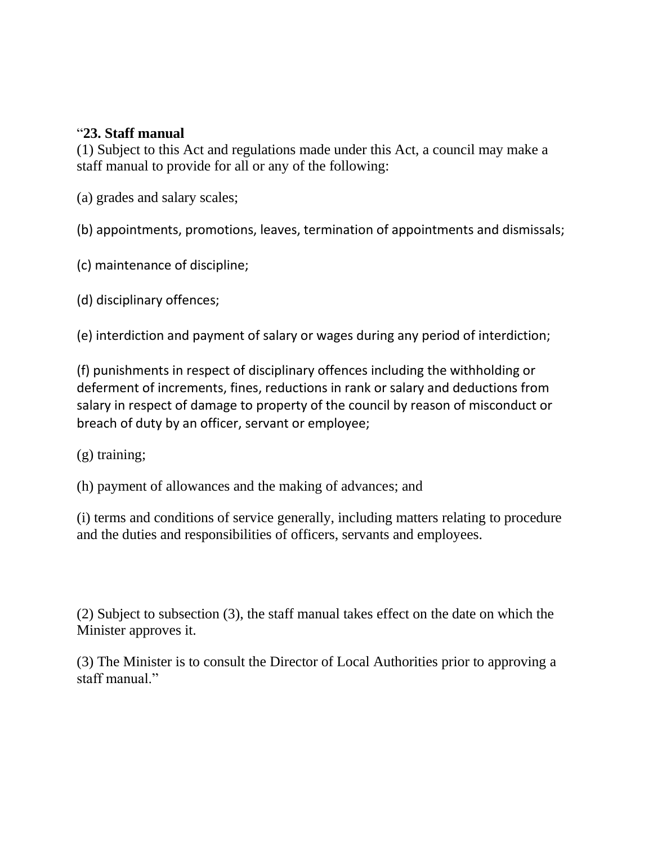## "**23. Staff manual**

(1) Subject to this Act and regulations made under this Act, a council may make a staff manual to provide for all or any of the following:

(a) grades and salary scales;

(b) appointments, promotions, leaves, termination of appointments and dismissals;

(c) maintenance of discipline;

(d) disciplinary offences;

(e) interdiction and payment of salary or wages during any period of interdiction;

(f) punishments in respect of disciplinary offences including the withholding or deferment of increments, fines, reductions in rank or salary and deductions from salary in respect of damage to property of the council by reason of misconduct or breach of duty by an officer, servant or employee;

(g) training;

(h) payment of allowances and the making of advances; and

(i) terms and conditions of service generally, including matters relating to procedure and the duties and responsibilities of officers, servants and employees.

(2) Subject to subsection (3), the staff manual takes effect on the date on which the Minister approves it.

(3) The Minister is to consult the Director of Local Authorities prior to approving a staff manual."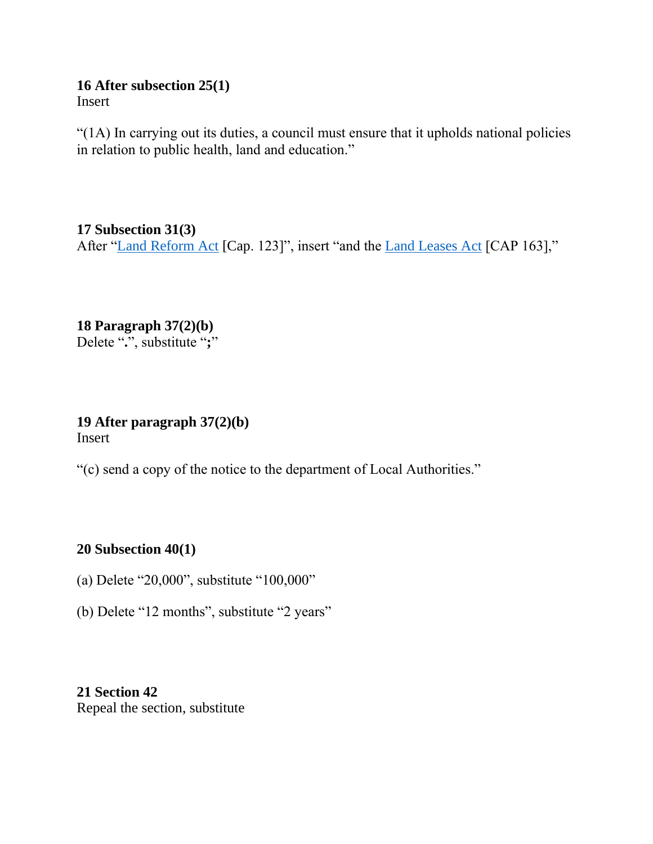#### **16 After subsection 25(1)** Insert

"(1A) In carrying out its duties, a council must ensure that it upholds national policies in relation to public health, land and education."

**17 Subsection 31(3)** After ["Land Reform Act](http://www.paclii.org/vu/legis/consol_act/lra117/) [Cap. 123]", insert "and the [Land Leases Act](http://www.paclii.org/vu/legis/consol_act/lla103/) [CAP 163],"

**18 Paragraph 37(2)(b)** Delete "**.**", substitute "**;**"

**19 After paragraph 37(2)(b)** Insert

"(c) send a copy of the notice to the department of Local Authorities."

## **20 Subsection 40(1)**

- (a) Delete "20,000", substitute "100,000"
- (b) Delete "12 months", substitute "2 years"

**21 Section 42** Repeal the section, substitute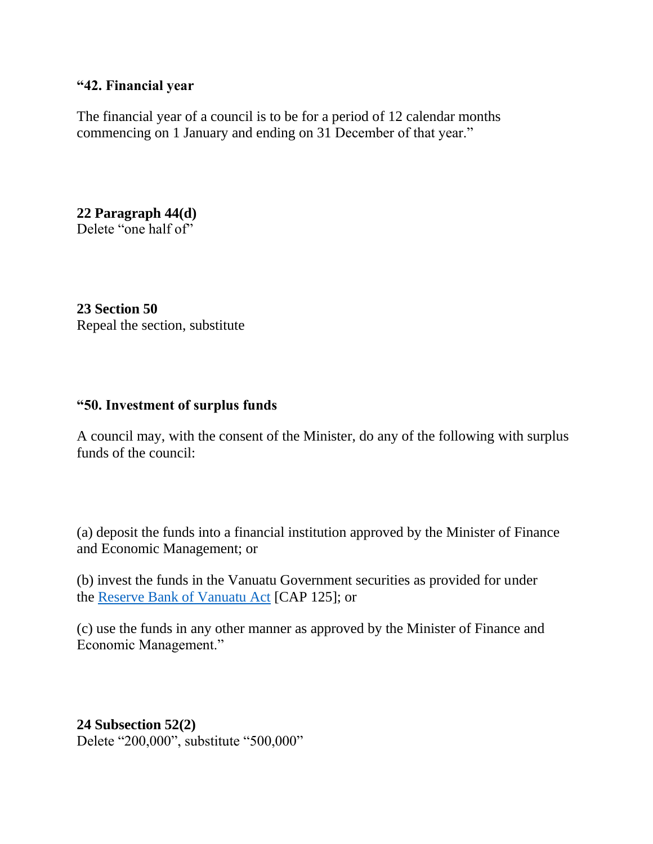#### **"42. Financial year**

The financial year of a council is to be for a period of 12 calendar months commencing on 1 January and ending on 31 December of that year."

**22 Paragraph 44(d)** Delete "one half of"

**23 Section 50** Repeal the section, substitute

#### **"50. Investment of surplus funds**

A council may, with the consent of the Minister, do any of the following with surplus funds of the council:

(a) deposit the funds into a financial institution approved by the Minister of Finance and Economic Management; or

(b) invest the funds in the Vanuatu Government securities as provided for under the [Reserve Bank of Vanuatu Act](http://www.paclii.org/vu/legis/consol_act/rbova242/) [CAP 125]; or

(c) use the funds in any other manner as approved by the Minister of Finance and Economic Management."

## **24 Subsection 52(2)** Delete "200,000", substitute "500,000"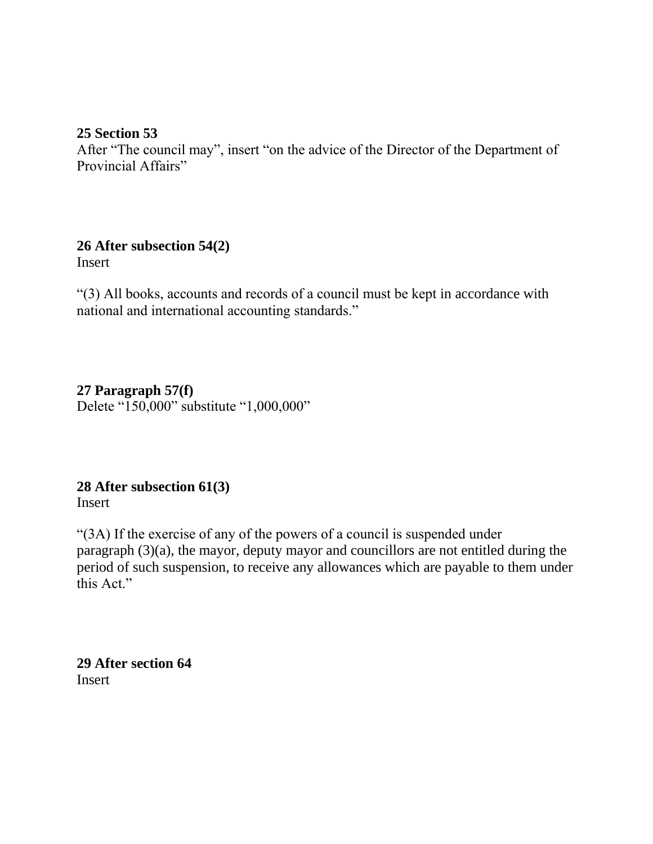## **25 Section 53**

After "The council may", insert "on the advice of the Director of the Department of Provincial Affairs"

# **26 After subsection 54(2)**

**Insert** 

"(3) All books, accounts and records of a council must be kept in accordance with national and international accounting standards."

## **27 Paragraph 57(f)** Delete "150,000" substitute "1,000,000"

# **28 After subsection 61(3)**

Insert

"(3A) If the exercise of any of the powers of a council is suspended under paragraph (3)(a), the mayor, deputy mayor and councillors are not entitled during the period of such suspension, to receive any allowances which are payable to them under this Act."

**29 After section 64** Insert